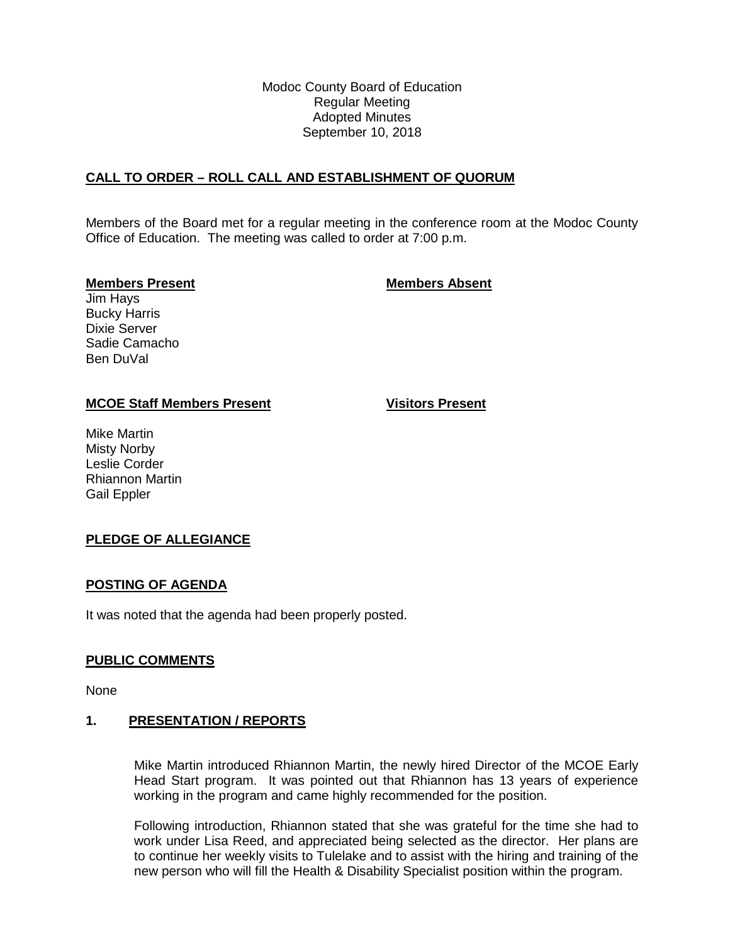Modoc County Board of Education Regular Meeting Adopted Minutes September 10, 2018

## **CALL TO ORDER – ROLL CALL AND ESTABLISHMENT OF QUORUM**

Members of the Board met for a regular meeting in the conference room at the Modoc County Office of Education. The meeting was called to order at 7:00 p.m.

### **Members Present Members Absent**

Jim Hays Bucky Harris Dixie Server Sadie Camacho Ben DuVal

## **MCOE Staff Members Present Visitors Present**

Mike Martin Misty Norby Leslie Corder Rhiannon Martin Gail Eppler

# **PLEDGE OF ALLEGIANCE**

## **POSTING OF AGENDA**

It was noted that the agenda had been properly posted.

## **PUBLIC COMMENTS**

None

## **1. PRESENTATION / REPORTS**

Mike Martin introduced Rhiannon Martin, the newly hired Director of the MCOE Early Head Start program. It was pointed out that Rhiannon has 13 years of experience working in the program and came highly recommended for the position.

Following introduction, Rhiannon stated that she was grateful for the time she had to work under Lisa Reed, and appreciated being selected as the director. Her plans are to continue her weekly visits to Tulelake and to assist with the hiring and training of the new person who will fill the Health & Disability Specialist position within the program.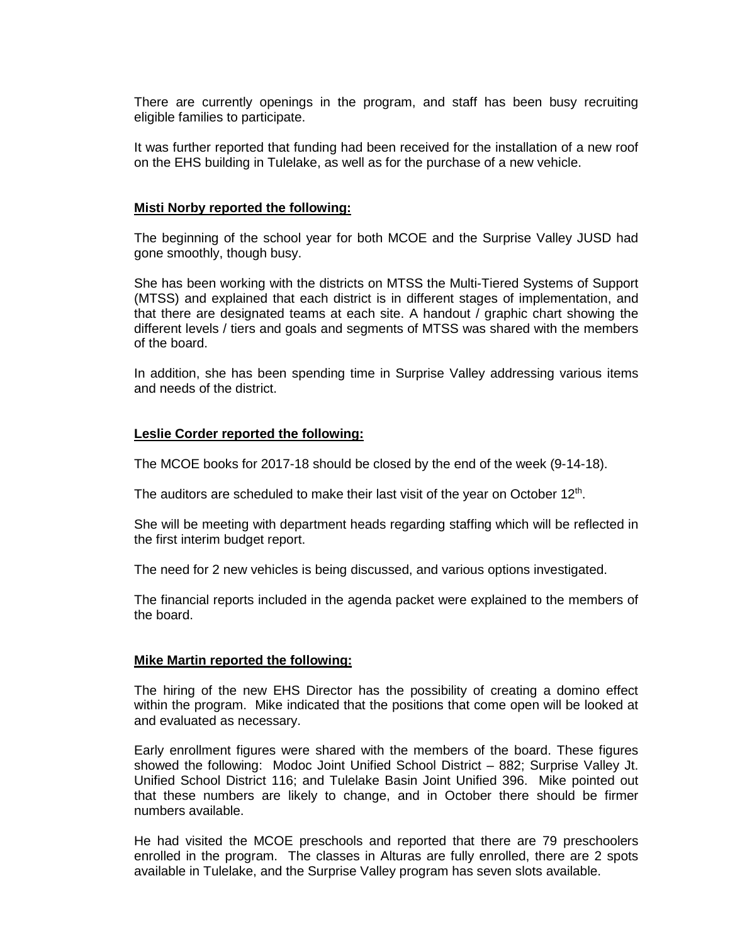There are currently openings in the program, and staff has been busy recruiting eligible families to participate.

It was further reported that funding had been received for the installation of a new roof on the EHS building in Tulelake, as well as for the purchase of a new vehicle.

### **Misti Norby reported the following:**

The beginning of the school year for both MCOE and the Surprise Valley JUSD had gone smoothly, though busy.

She has been working with the districts on MTSS the Multi-Tiered Systems of Support (MTSS) and explained that each district is in different stages of implementation, and that there are designated teams at each site. A handout / graphic chart showing the different levels / tiers and goals and segments of MTSS was shared with the members of the board.

In addition, she has been spending time in Surprise Valley addressing various items and needs of the district.

#### **Leslie Corder reported the following:**

The MCOE books for 2017-18 should be closed by the end of the week (9-14-18).

The auditors are scheduled to make their last visit of the year on October  $12<sup>th</sup>$ .

She will be meeting with department heads regarding staffing which will be reflected in the first interim budget report.

The need for 2 new vehicles is being discussed, and various options investigated.

The financial reports included in the agenda packet were explained to the members of the board.

#### **Mike Martin reported the following:**

The hiring of the new EHS Director has the possibility of creating a domino effect within the program. Mike indicated that the positions that come open will be looked at and evaluated as necessary.

Early enrollment figures were shared with the members of the board. These figures showed the following: Modoc Joint Unified School District – 882; Surprise Valley Jt. Unified School District 116; and Tulelake Basin Joint Unified 396. Mike pointed out that these numbers are likely to change, and in October there should be firmer numbers available.

He had visited the MCOE preschools and reported that there are 79 preschoolers enrolled in the program. The classes in Alturas are fully enrolled, there are 2 spots available in Tulelake, and the Surprise Valley program has seven slots available.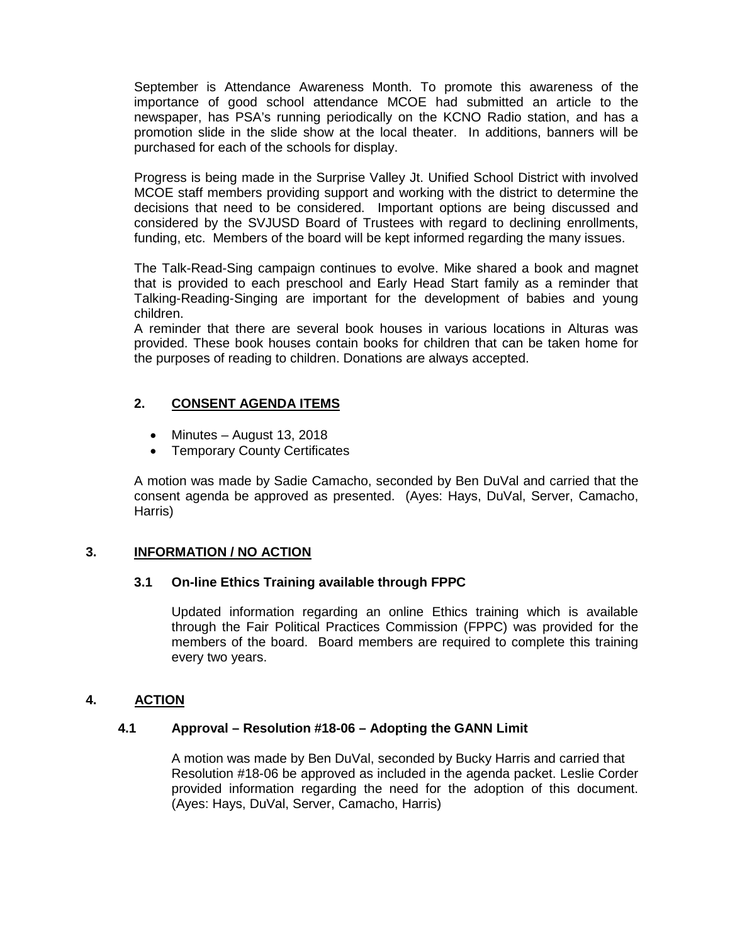September is Attendance Awareness Month. To promote this awareness of the importance of good school attendance MCOE had submitted an article to the newspaper, has PSA's running periodically on the KCNO Radio station, and has a promotion slide in the slide show at the local theater. In additions, banners will be purchased for each of the schools for display.

Progress is being made in the Surprise Valley Jt. Unified School District with involved MCOE staff members providing support and working with the district to determine the decisions that need to be considered. Important options are being discussed and considered by the SVJUSD Board of Trustees with regard to declining enrollments, funding, etc. Members of the board will be kept informed regarding the many issues.

The Talk-Read-Sing campaign continues to evolve. Mike shared a book and magnet that is provided to each preschool and Early Head Start family as a reminder that Talking-Reading-Singing are important for the development of babies and young children.

A reminder that there are several book houses in various locations in Alturas was provided. These book houses contain books for children that can be taken home for the purposes of reading to children. Donations are always accepted.

# **2. CONSENT AGENDA ITEMS**

- Minutes August 13, 2018
- Temporary County Certificates

A motion was made by Sadie Camacho, seconded by Ben DuVal and carried that the consent agenda be approved as presented. (Ayes: Hays, DuVal, Server, Camacho, Harris)

# **3. INFORMATION / NO ACTION**

## **3.1 On-line Ethics Training available through FPPC**

Updated information regarding an online Ethics training which is available through the Fair Political Practices Commission (FPPC) was provided for the members of the board. Board members are required to complete this training every two years.

# **4. ACTION**

## **4.1 Approval – Resolution #18-06 – Adopting the GANN Limit**

A motion was made by Ben DuVal, seconded by Bucky Harris and carried that Resolution #18-06 be approved as included in the agenda packet. Leslie Corder provided information regarding the need for the adoption of this document. (Ayes: Hays, DuVal, Server, Camacho, Harris)